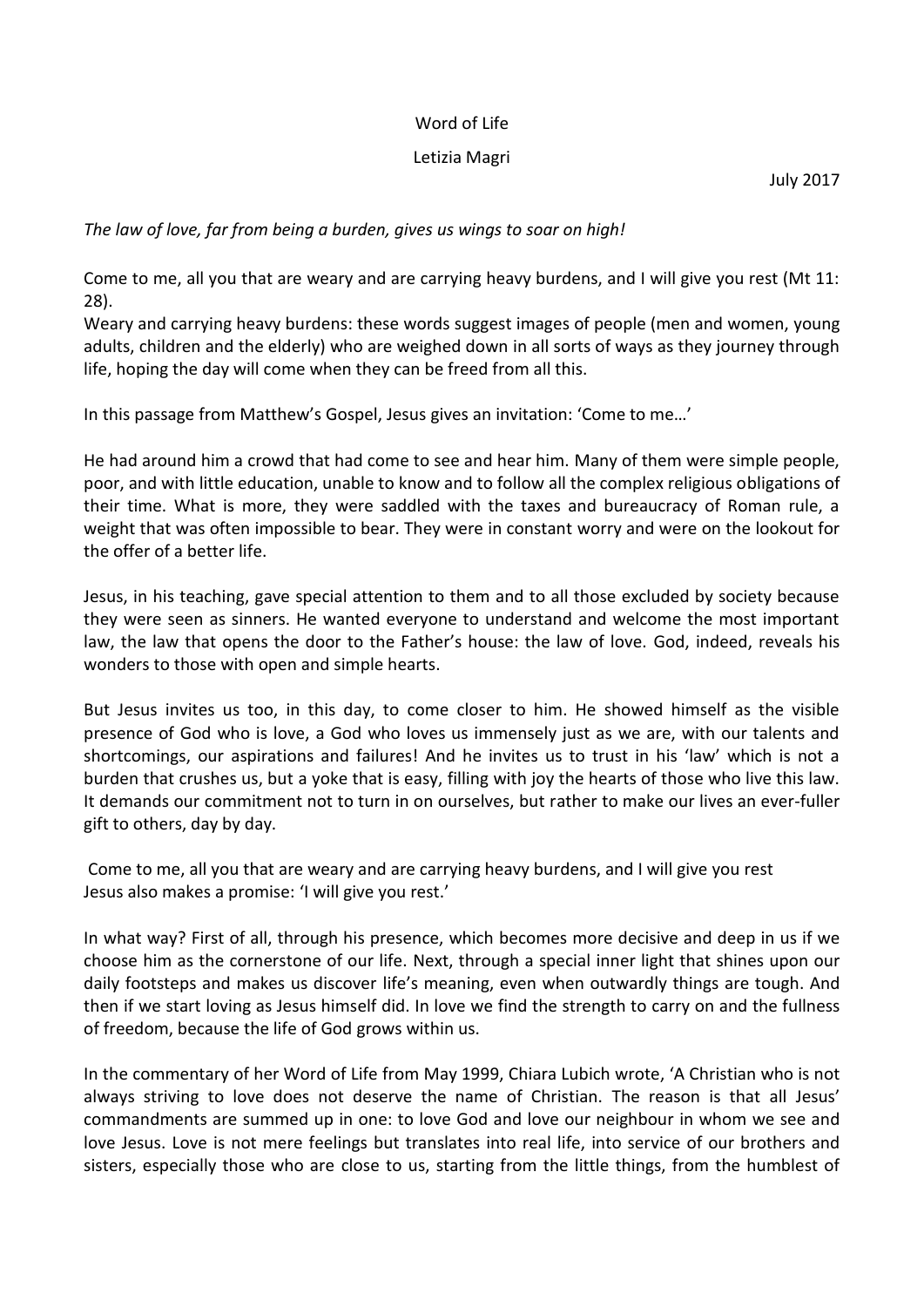## Word of Life

## Letizia Magri

July 2017

*The law of love, far from being a burden, gives us wings to soar on high!*

Come to me, all you that are weary and are carrying heavy burdens, and I will give you rest (Mt 11: 28).

Weary and carrying heavy burdens: these words suggest images of people (men and women, young adults, children and the elderly) who are weighed down in all sorts of ways as they journey through life, hoping the day will come when they can be freed from all this.

In this passage from Matthew's Gospel, Jesus gives an invitation: 'Come to me…'

He had around him a crowd that had come to see and hear him. Many of them were simple people, poor, and with little education, unable to know and to follow all the complex religious obligations of their time. What is more, they were saddled with the taxes and bureaucracy of Roman rule, a weight that was often impossible to bear. They were in constant worry and were on the lookout for the offer of a better life.

Jesus, in his teaching, gave special attention to them and to all those excluded by society because they were seen as sinners. He wanted everyone to understand and welcome the most important law, the law that opens the door to the Father's house: the law of love. God, indeed, reveals his wonders to those with open and simple hearts.

But Jesus invites us too, in this day, to come closer to him. He showed himself as the visible presence of God who is love, a God who loves us immensely just as we are, with our talents and shortcomings, our aspirations and failures! And he invites us to trust in his 'law' which is not a burden that crushes us, but a yoke that is easy, filling with joy the hearts of those who live this law. It demands our commitment not to turn in on ourselves, but rather to make our lives an ever-fuller gift to others, day by day.

Come to me, all you that are weary and are carrying heavy burdens, and I will give you rest Jesus also makes a promise: 'I will give you rest.'

In what way? First of all, through his presence, which becomes more decisive and deep in us if we choose him as the cornerstone of our life. Next, through a special inner light that shines upon our daily footsteps and makes us discover life's meaning, even when outwardly things are tough. And then if we start loving as Jesus himself did. In love we find the strength to carry on and the fullness of freedom, because the life of God grows within us.

In the commentary of her Word of Life from May 1999, Chiara Lubich wrote, 'A Christian who is not always striving to love does not deserve the name of Christian. The reason is that all Jesus' commandments are summed up in one: to love God and love our neighbour in whom we see and love Jesus. Love is not mere feelings but translates into real life, into service of our brothers and sisters, especially those who are close to us, starting from the little things, from the humblest of